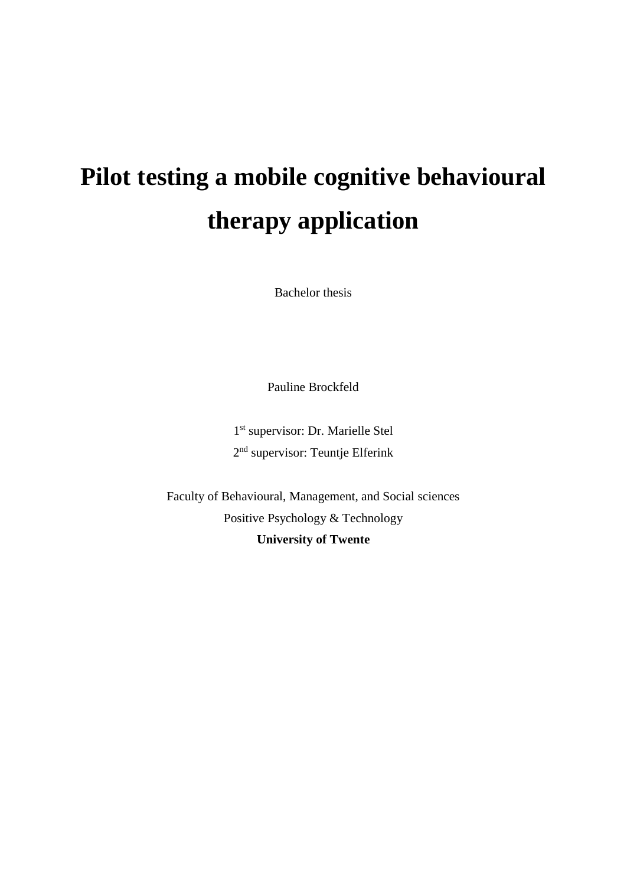# **Pilot testing a mobile cognitive behavioural therapy application**

Bachelor thesis

Pauline Brockfeld

1 st supervisor: Dr. Marielle Stel 2<sup>nd</sup> supervisor: Teuntje Elferink

Faculty of Behavioural, Management, and Social sciences Positive Psychology & Technology **University of Twente**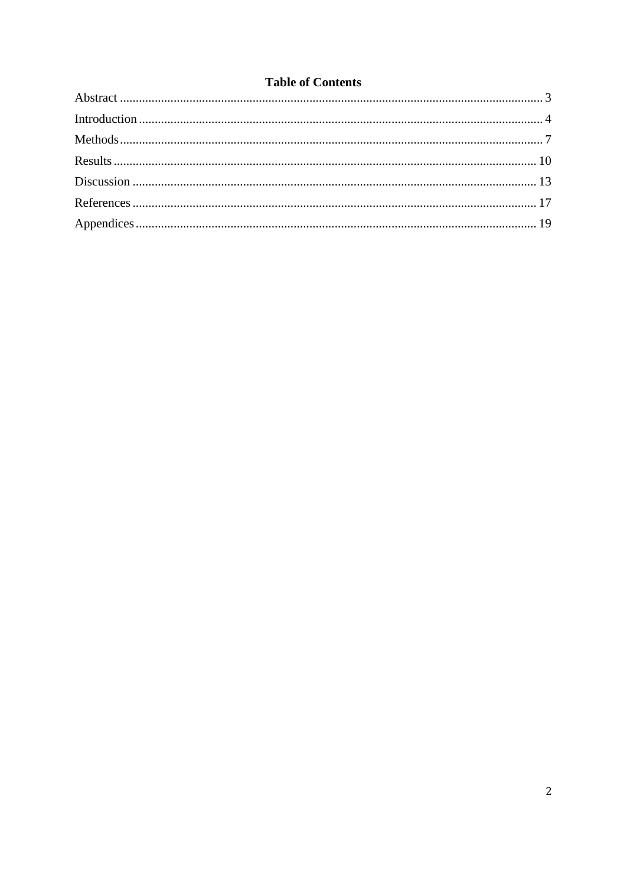# **Table of Contents**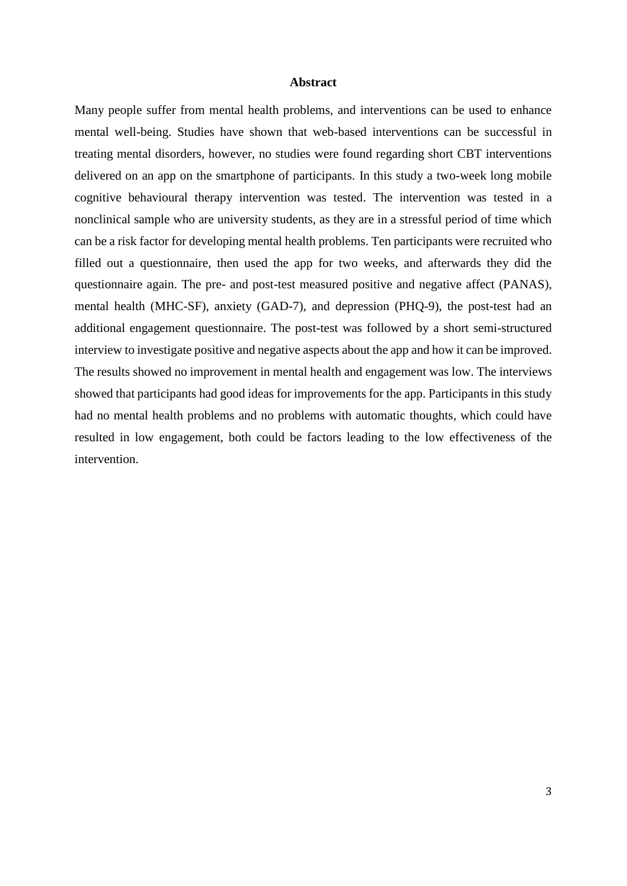#### **Abstract**

<span id="page-2-0"></span>Many people suffer from mental health problems, and interventions can be used to enhance mental well-being. Studies have shown that web-based interventions can be successful in treating mental disorders, however, no studies were found regarding short CBT interventions delivered on an app on the smartphone of participants. In this study a two-week long mobile cognitive behavioural therapy intervention was tested. The intervention was tested in a nonclinical sample who are university students, as they are in a stressful period of time which can be a risk factor for developing mental health problems. Ten participants were recruited who filled out a questionnaire, then used the app for two weeks, and afterwards they did the questionnaire again. The pre- and post-test measured positive and negative affect (PANAS), mental health (MHC-SF), anxiety (GAD-7), and depression (PHQ-9), the post-test had an additional engagement questionnaire. The post-test was followed by a short semi-structured interview to investigate positive and negative aspects about the app and how it can be improved. The results showed no improvement in mental health and engagement was low. The interviews showed that participants had good ideas for improvements for the app. Participants in this study had no mental health problems and no problems with automatic thoughts, which could have resulted in low engagement, both could be factors leading to the low effectiveness of the intervention.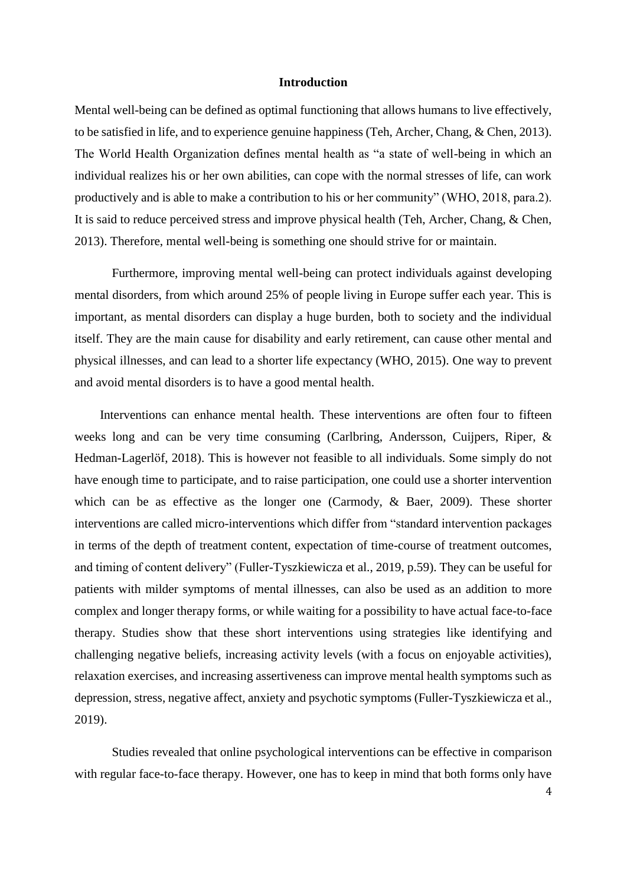#### **Introduction**

<span id="page-3-0"></span>Mental well-being can be defined as optimal functioning that allows humans to live effectively, to be satisfied in life, and to experience genuine happiness (Teh, Archer, Chang, & Chen, 2013). The World Health Organization defines mental health as "a state of well-being in which an individual realizes his or her own abilities, can cope with the normal stresses of life, can work productively and is able to make a contribution to his or her community" (WHO, 2018, para.2). It is said to reduce perceived stress and improve physical health (Teh, Archer, Chang, & Chen, 2013). Therefore, mental well-being is something one should strive for or maintain.

 Furthermore, improving mental well-being can protect individuals against developing mental disorders, from which around 25% of people living in Europe suffer each year. This is important, as mental disorders can display a huge burden, both to society and the individual itself. They are the main cause for disability and early retirement, can cause other mental and physical illnesses, and can lead to a shorter life expectancy (WHO, 2015). One way to prevent and avoid mental disorders is to have a good mental health.

 Interventions can enhance mental health. These interventions are often four to fifteen weeks long and can be very time consuming (Carlbring, Andersson, Cuijpers, Riper, & Hedman-Lagerlöf, 2018). This is however not feasible to all individuals. Some simply do not have enough time to participate, and to raise participation, one could use a shorter intervention which can be as effective as the longer one (Carmody, & Baer, 2009). These shorter interventions are called micro-interventions which differ from "standard intervention packages in terms of the depth of treatment content, expectation of time-course of treatment outcomes, and timing of content delivery" (Fuller-Tyszkiewicza et al., 2019, p.59). They can be useful for patients with milder symptoms of mental illnesses, can also be used as an addition to more complex and longer therapy forms, or while waiting for a possibility to have actual face-to-face therapy. Studies show that these short interventions using strategies like identifying and challenging negative beliefs, increasing activity levels (with a focus on enjoyable activities), relaxation exercises, and increasing assertiveness can improve mental health symptoms such as depression, stress, negative affect, anxiety and psychotic symptoms (Fuller-Tyszkiewicza et al., 2019).

 Studies revealed that online psychological interventions can be effective in comparison with regular face-to-face therapy. However, one has to keep in mind that both forms only have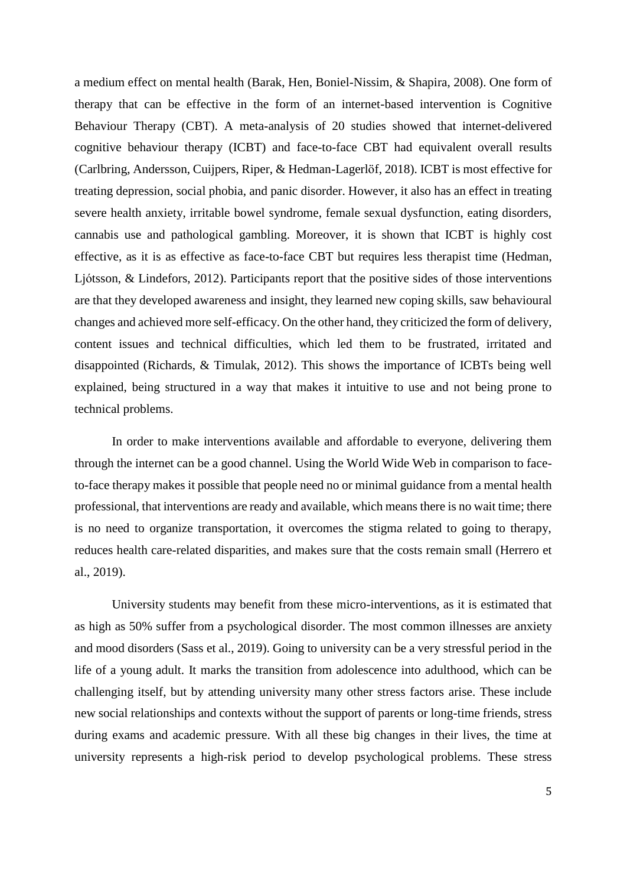a medium effect on mental health (Barak, Hen, Boniel-Nissim, & Shapira, 2008). One form of therapy that can be effective in the form of an internet-based intervention is Cognitive Behaviour Therapy (CBT). A meta-analysis of 20 studies showed that internet-delivered cognitive behaviour therapy (ICBT) and face-to-face CBT had equivalent overall results (Carlbring, Andersson, Cuijpers, Riper, & Hedman-Lagerlöf, 2018). ICBT is most effective for treating depression, social phobia, and panic disorder. However, it also has an effect in treating severe health anxiety, irritable bowel syndrome, female sexual dysfunction, eating disorders, cannabis use and pathological gambling. Moreover, it is shown that ICBT is highly cost effective, as it is as effective as face-to-face CBT but requires less therapist time (Hedman, Ljótsson, & Lindefors, 2012). Participants report that the positive sides of those interventions are that they developed awareness and insight, they learned new coping skills, saw behavioural changes and achieved more self-efficacy. On the other hand, they criticized the form of delivery, content issues and technical difficulties, which led them to be frustrated, irritated and disappointed (Richards, & Timulak, 2012). This shows the importance of ICBTs being well explained, being structured in a way that makes it intuitive to use and not being prone to technical problems.

In order to make interventions available and affordable to everyone, delivering them through the internet can be a good channel. Using the World Wide Web in comparison to faceto-face therapy makes it possible that people need no or minimal guidance from a mental health professional, that interventions are ready and available, which means there is no wait time; there is no need to organize transportation, it overcomes the stigma related to going to therapy, reduces health care-related disparities, and makes sure that the costs remain small (Herrero et al., 2019).

 University students may benefit from these micro-interventions, as it is estimated that as high as 50% suffer from a psychological disorder. The most common illnesses are anxiety and mood disorders (Sass et al., 2019). Going to university can be a very stressful period in the life of a young adult. It marks the transition from adolescence into adulthood, which can be challenging itself, but by attending university many other stress factors arise. These include new social relationships and contexts without the support of parents or long-time friends, stress during exams and academic pressure. With all these big changes in their lives, the time at university represents a high-risk period to develop psychological problems. These stress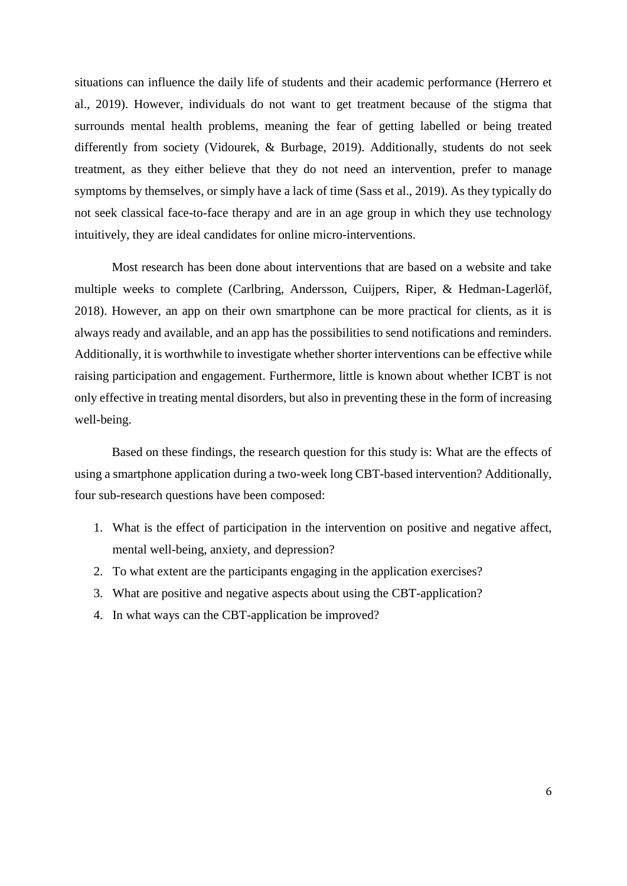situations can influence the daily life of students and their academic performance (Herrero et al., 2019). However, individuals do not want to get treatment because of the stigma that surrounds mental health problems, meaning the fear of getting labelled or being treated differently from society (Vidourek, & Burbage, 2019). Additionally, students do not seek treatment, as they either believe that they do not need an intervention, prefer to manage symptoms by themselves, or simply have a lack of time (Sass et al., 2019). As they typically do not seek classical face-to-face therapy and are in an age group in which they use technology intuitively, they are ideal candidates for online micro-interventions.

 Most research has been done about interventions that are based on a website and take multiple weeks to complete (Carlbring, Andersson, Cuijpers, Riper, & Hedman-Lagerlöf, 2018). However, an app on their own smartphone can be more practical for clients, as it is always ready and available, and an app has the possibilities to send notifications and reminders. Additionally, it is worthwhile to investigate whether shorter interventions can be effective while raising participation and engagement. Furthermore, little is known about whether ICBT is not only effective in treating mental disorders, but also in preventing these in the form of increasing well-being.

 Based on these findings, the research question for this study is: What are the effects of using a smartphone application during a two-week long CBT-based intervention? Additionally, four sub-research questions have been composed:

- 1. What is the effect of participation in the intervention on positive and negative affect, mental well-being, anxiety, and depression?
- 2. To what extent are the participants engaging in the application exercises?
- 3. What are positive and negative aspects about using the CBT-application?
- 4. In what ways can the CBT-application be improved?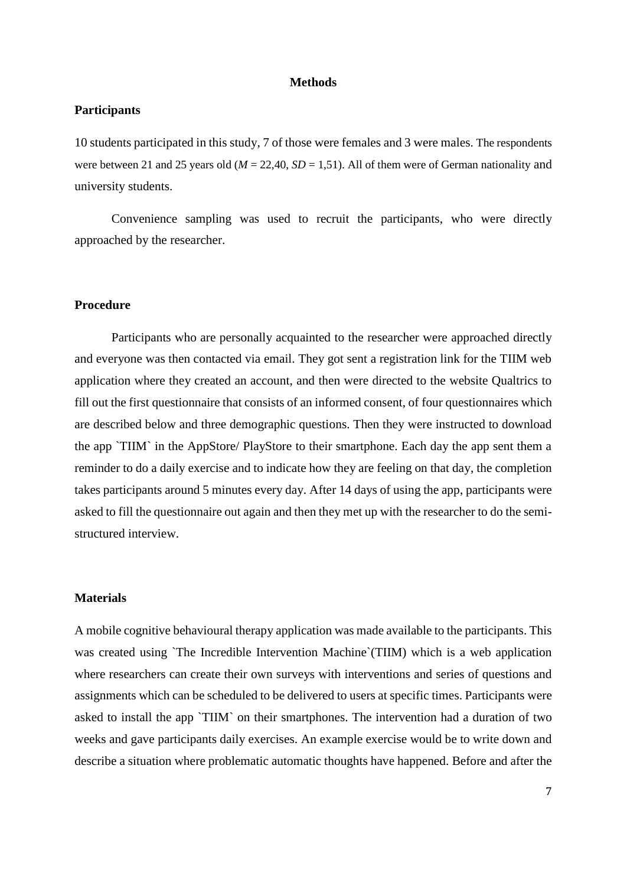#### **Methods**

## <span id="page-6-0"></span>**Participants**

10 students participated in this study, 7 of those were females and 3 were males. The respondents were between 21 and 25 years old ( $M = 22,40$ ,  $SD = 1,51$ ). All of them were of German nationality and university students.

Convenience sampling was used to recruit the participants, who were directly approached by the researcher.

## **Procedure**

Participants who are personally acquainted to the researcher were approached directly and everyone was then contacted via email. They got sent a registration link for the TIIM web application where they created an account, and then were directed to the website Qualtrics to fill out the first questionnaire that consists of an informed consent, of four questionnaires which are described below and three demographic questions. Then they were instructed to download the app `TIIM` in the AppStore/ PlayStore to their smartphone. Each day the app sent them a reminder to do a daily exercise and to indicate how they are feeling on that day, the completion takes participants around 5 minutes every day. After 14 days of using the app, participants were asked to fill the questionnaire out again and then they met up with the researcher to do the semistructured interview.

## **Materials**

A mobile cognitive behavioural therapy application was made available to the participants. This was created using 'The Incredible Intervention Machine' (TIIM) which is a web application where researchers can create their own surveys with interventions and series of questions and assignments which can be scheduled to be delivered to users at specific times. Participants were asked to install the app `TIIM` on their smartphones. The intervention had a duration of two weeks and gave participants daily exercises. An example exercise would be to write down and describe a situation where problematic automatic thoughts have happened. Before and after the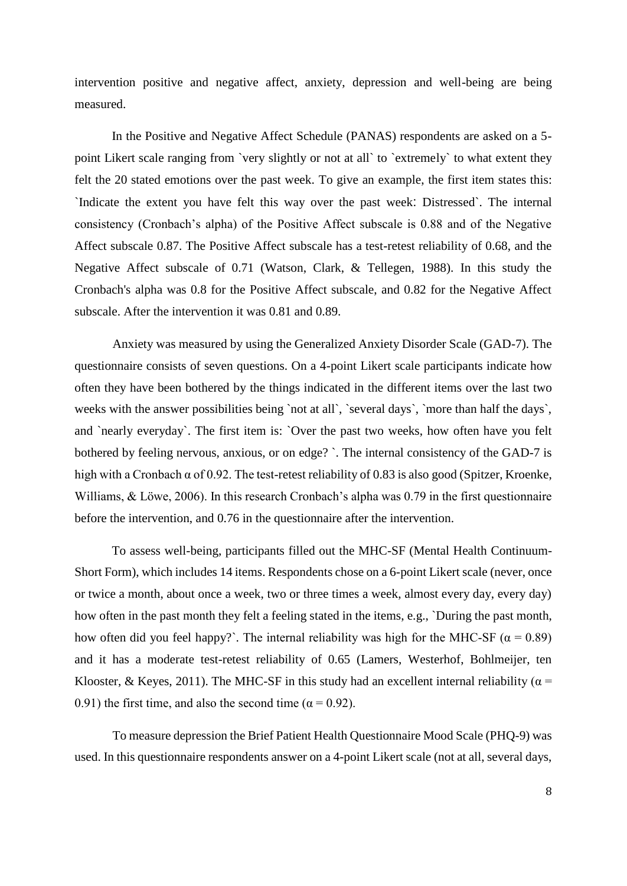intervention positive and negative affect, anxiety, depression and well-being are being measured.

In the Positive and Negative Affect Schedule (PANAS) respondents are asked on a 5 point Likert scale ranging from `very slightly or not at all` to `extremely` to what extent they felt the 20 stated emotions over the past week. To give an example, the first item states this: `Indicate the extent you have felt this way over the past week: Distressed`. The internal consistency (Cronbach's alpha) of the Positive Affect subscale is 0.88 and of the Negative Affect subscale 0.87. The Positive Affect subscale has a test-retest reliability of 0.68, and the Negative Affect subscale of 0.71 (Watson, Clark, & Tellegen, 1988). In this study the Cronbach's alpha was 0.8 for the Positive Affect subscale, and 0.82 for the Negative Affect subscale. After the intervention it was 0.81 and 0.89.

Anxiety was measured by using the Generalized Anxiety Disorder Scale (GAD-7). The questionnaire consists of seven questions. On a 4-point Likert scale participants indicate how often they have been bothered by the things indicated in the different items over the last two weeks with the answer possibilities being `not at all`, `several days`, `more than half the days`, and `nearly everyday`. The first item is: `Over the past two weeks, how often have you felt bothered by feeling nervous, anxious, or on edge? `. The internal consistency of the GAD-7 is high with a Cronbach α of 0.92. The test-retest reliability of 0.83 is also good (Spitzer, Kroenke, Williams, & Löwe, 2006). In this research Cronbach's alpha was 0.79 in the first questionnaire before the intervention, and 0.76 in the questionnaire after the intervention.

To assess well-being, participants filled out the MHC-SF (Mental Health Continuum-Short Form), which includes 14 items. Respondents chose on a 6-point Likert scale (never, once or twice a month, about once a week, two or three times a week, almost every day, every day) how often in the past month they felt a feeling stated in the items, e.g., `During the past month, how often did you feel happy?`. The internal reliability was high for the MHC-SF ( $\alpha = 0.89$ ) and it has a moderate test-retest reliability of 0.65 (Lamers, Westerhof, Bohlmeijer, ten Klooster, & Keyes, 2011). The MHC-SF in this study had an excellent internal reliability ( $\alpha$  = 0.91) the first time, and also the second time ( $\alpha$  = 0.92).

To measure depression the Brief Patient Health Questionnaire Mood Scale (PHQ-9) was used. In this questionnaire respondents answer on a 4-point Likert scale (not at all, several days,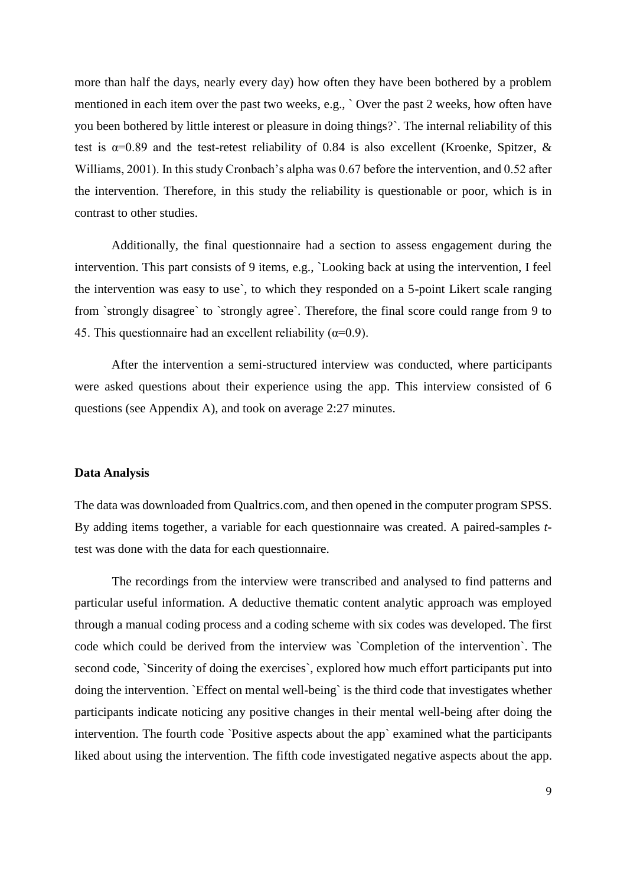more than half the days, nearly every day) how often they have been bothered by a problem mentioned in each item over the past two weeks, e.g., ` Over the past 2 weeks, how often have you been bothered by little interest or pleasure in doing things?`. The internal reliability of this test is  $\alpha$ =0.89 and the test-retest reliability of 0.84 is also excellent (Kroenke, Spitzer, & Williams, 2001). In this study Cronbach's alpha was 0.67 before the intervention, and 0.52 after the intervention. Therefore, in this study the reliability is questionable or poor, which is in contrast to other studies.

Additionally, the final questionnaire had a section to assess engagement during the intervention. This part consists of 9 items, e.g., `Looking back at using the intervention, I feel the intervention was easy to use`, to which they responded on a 5-point Likert scale ranging from `strongly disagree` to `strongly agree`. Therefore, the final score could range from 9 to 45. This questionnaire had an excellent reliability ( $\alpha$ =0.9).

After the intervention a semi-structured interview was conducted, where participants were asked questions about their experience using the app. This interview consisted of 6 questions (see Appendix A), and took on average 2:27 minutes.

## **Data Analysis**

The data was downloaded from Qualtrics.com, and then opened in the computer program SPSS. By adding items together, a variable for each questionnaire was created. A paired-samples *t*test was done with the data for each questionnaire.

The recordings from the interview were transcribed and analysed to find patterns and particular useful information. A deductive thematic content analytic approach was employed through a manual coding process and a coding scheme with six codes was developed. The first code which could be derived from the interview was `Completion of the intervention`. The second code, `Sincerity of doing the exercises`, explored how much effort participants put into doing the intervention. `Effect on mental well-being` is the third code that investigates whether participants indicate noticing any positive changes in their mental well-being after doing the intervention. The fourth code `Positive aspects about the app` examined what the participants liked about using the intervention. The fifth code investigated negative aspects about the app.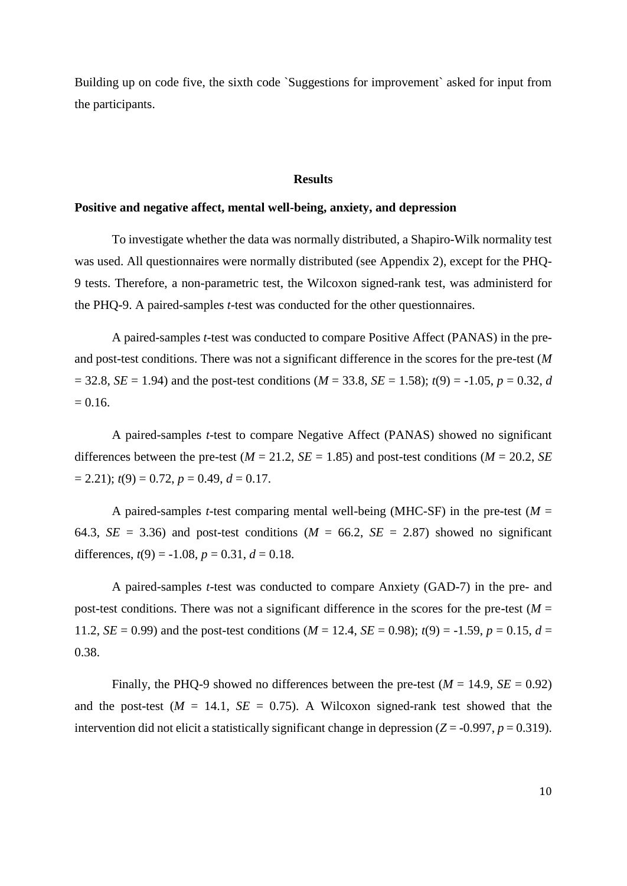Building up on code five, the sixth code `Suggestions for improvement` asked for input from the participants.

#### **Results**

#### <span id="page-9-0"></span>**Positive and negative affect, mental well-being, anxiety, and depression**

To investigate whether the data was normally distributed, a Shapiro-Wilk normality test was used. All questionnaires were normally distributed (see Appendix 2), except for the PHQ-9 tests. Therefore, a non-parametric test, the Wilcoxon signed-rank test, was administerd for the PHQ-9. A paired-samples *t*-test was conducted for the other questionnaires.

A paired-samples *t*-test was conducted to compare Positive Affect (PANAS) in the preand post-test conditions. There was not a significant difference in the scores for the pre-test (*M*  $= 32.8$ , *SE* = 1.94) and the post-test conditions (*M* = 33.8, *SE* = 1.58); *t*(9) = -1.05, *p* = 0.32, *d*  $= 0.16.$ 

A paired-samples *t*-test to compare Negative Affect (PANAS) showed no significant differences between the pre-test ( $M = 21.2$ ,  $SE = 1.85$ ) and post-test conditions ( $M = 20.2$ , *SE*)  $= 2.21$ ;  $t(9) = 0.72$ ,  $p = 0.49$ ,  $d = 0.17$ .

A paired-samples *t*-test comparing mental well-being (MHC-SF) in the pre-test ( $M =$ 64.3,  $SE = 3.36$ ) and post-test conditions ( $M = 66.2$ ,  $SE = 2.87$ ) showed no significant differences,  $t(9) = -1.08$ ,  $p = 0.31$ ,  $d = 0.18$ .

A paired-samples *t*-test was conducted to compare Anxiety (GAD-7) in the pre- and post-test conditions. There was not a significant difference in the scores for the pre-test ( $M =$ 11.2, *SE* = 0.99) and the post-test conditions ( $M = 12.4$ , *SE* = 0.98);  $t(9) = -1.59$ ,  $p = 0.15$ ,  $d =$ 0.38.

Finally, the PHQ-9 showed no differences between the pre-test ( $M = 14.9$ ,  $SE = 0.92$ ) and the post-test ( $M = 14.1$ ,  $SE = 0.75$ ). A Wilcoxon signed-rank test showed that the intervention did not elicit a statistically significant change in depression  $(Z = -0.997, p = 0.319)$ .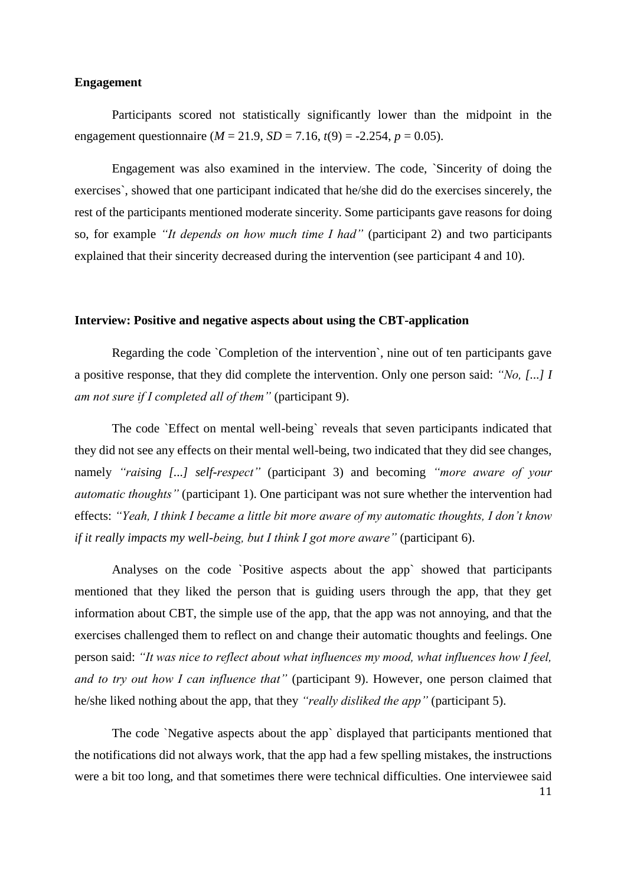## **Engagement**

Participants scored not statistically significantly lower than the midpoint in the engagement questionnaire ( $M = 21.9$ ,  $SD = 7.16$ ,  $t(9) = -2.254$ ,  $p = 0.05$ ).

Engagement was also examined in the interview. The code, `Sincerity of doing the exercises`, showed that one participant indicated that he/she did do the exercises sincerely, the rest of the participants mentioned moderate sincerity. Some participants gave reasons for doing so, for example *"It depends on how much time I had"* (participant 2) and two participants explained that their sincerity decreased during the intervention (see participant 4 and 10).

## **Interview: Positive and negative aspects about using the CBT-application**

Regarding the code `Completion of the intervention`, nine out of ten participants gave a positive response, that they did complete the intervention. Only one person said: *"No, [...] I am not sure if I completed all of them"* (participant 9).

The code `Effect on mental well-being` reveals that seven participants indicated that they did not see any effects on their mental well-being, two indicated that they did see changes, namely *"raising [...] self-respect"* (participant 3) and becoming *"more aware of your automatic thoughts*" (participant 1). One participant was not sure whether the intervention had effects: *"Yeah, I think I became a little bit more aware of my automatic thoughts, I don't know if it really impacts my well-being, but I think I got more aware*" (participant 6).

Analyses on the code `Positive aspects about the app` showed that participants mentioned that they liked the person that is guiding users through the app, that they get information about CBT, the simple use of the app, that the app was not annoying, and that the exercises challenged them to reflect on and change their automatic thoughts and feelings. One person said: *"It was nice to reflect about what influences my mood, what influences how I feel, and to try out how I can influence that"* (participant 9). However, one person claimed that he/she liked nothing about the app, that they *"really disliked the app"* (participant 5).

The code `Negative aspects about the app` displayed that participants mentioned that the notifications did not always work, that the app had a few spelling mistakes, the instructions were a bit too long, and that sometimes there were technical difficulties. One interviewee said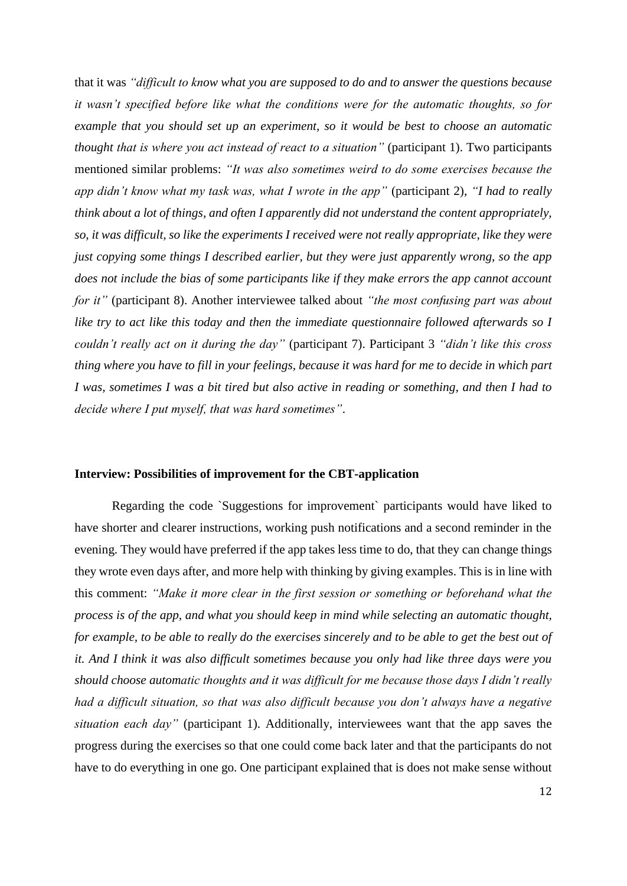that it was *"difficult to know what you are supposed to do and to answer the questions because it wasn't specified before like what the conditions were for the automatic thoughts, so for example that you should set up an experiment, so it would be best to choose an automatic thought that is where you act instead of react to a situation*" (participant 1). Two participants mentioned similar problems: *"It was also sometimes weird to do some exercises because the app didn't know what my task was, what I wrote in the app"* (participant 2), *"I had to really think about a lot of things, and often I apparently did not understand the content appropriately, so, it was difficult, so like the experiments I received were not really appropriate, like they were just copying some things I described earlier, but they were just apparently wrong, so the app does not include the bias of some participants like if they make errors the app cannot account for it"* (participant 8). Another interviewee talked about *"the most confusing part was about like try to act like this today and then the immediate questionnaire followed afterwards so I couldn't really act on it during the day"* (participant 7). Participant 3 *"didn't like this cross thing where you have to fill in your feelings, because it was hard for me to decide in which part I was, sometimes I was a bit tired but also active in reading or something, and then I had to decide where I put myself, that was hard sometimes"*.

#### **Interview: Possibilities of improvement for the CBT-application**

Regarding the code `Suggestions for improvement` participants would have liked to have shorter and clearer instructions, working push notifications and a second reminder in the evening. They would have preferred if the app takes less time to do, that they can change things they wrote even days after, and more help with thinking by giving examples. This is in line with this comment: *"Make it more clear in the first session or something or beforehand what the process is of the app, and what you should keep in mind while selecting an automatic thought, for example, to be able to really do the exercises sincerely and to be able to get the best out of it. And I think it was also difficult sometimes because you only had like three days were you should choose automatic thoughts and it was difficult for me because those days I didn't really had a difficult situation, so that was also difficult because you don't always have a negative situation each day"* (participant 1). Additionally, interviewees want that the app saves the progress during the exercises so that one could come back later and that the participants do not have to do everything in one go. One participant explained that is does not make sense without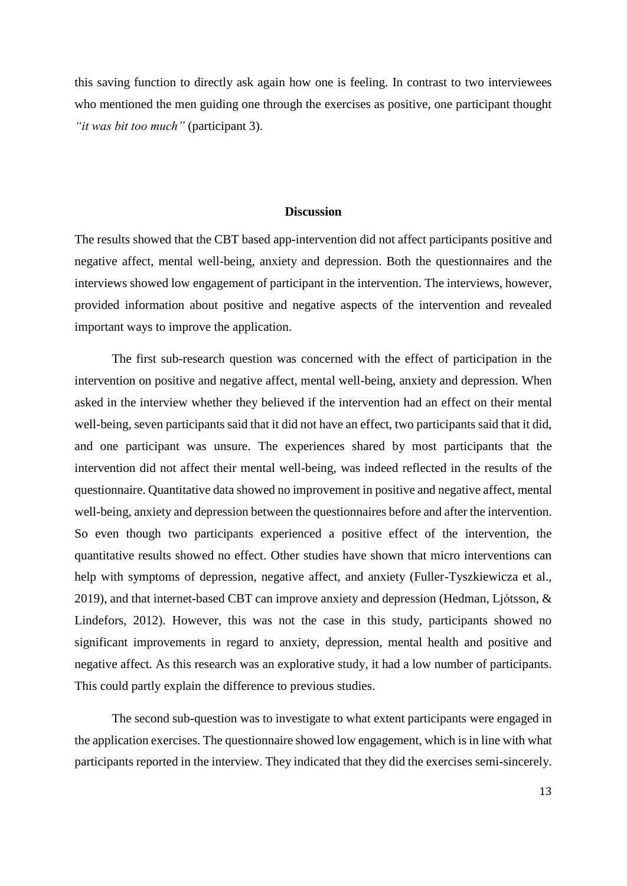this saving function to directly ask again how one is feeling. In contrast to two interviewees who mentioned the men guiding one through the exercises as positive, one participant thought *"it was bit too much"* (participant 3).

#### **Discussion**

<span id="page-12-0"></span>The results showed that the CBT based app-intervention did not affect participants positive and negative affect, mental well-being, anxiety and depression. Both the questionnaires and the interviews showed low engagement of participant in the intervention. The interviews, however, provided information about positive and negative aspects of the intervention and revealed important ways to improve the application.

The first sub-research question was concerned with the effect of participation in the intervention on positive and negative affect, mental well-being, anxiety and depression. When asked in the interview whether they believed if the intervention had an effect on their mental well-being, seven participants said that it did not have an effect, two participants said that it did, and one participant was unsure. The experiences shared by most participants that the intervention did not affect their mental well-being, was indeed reflected in the results of the questionnaire. Quantitative data showed no improvement in positive and negative affect, mental well-being, anxiety and depression between the questionnaires before and after the intervention. So even though two participants experienced a positive effect of the intervention, the quantitative results showed no effect. Other studies have shown that micro interventions can help with symptoms of depression, negative affect, and anxiety (Fuller-Tyszkiewicza et al., 2019), and that internet-based CBT can improve anxiety and depression (Hedman, Ljótsson, & Lindefors, 2012). However, this was not the case in this study, participants showed no significant improvements in regard to anxiety, depression, mental health and positive and negative affect. As this research was an explorative study, it had a low number of participants. This could partly explain the difference to previous studies.

The second sub-question was to investigate to what extent participants were engaged in the application exercises. The questionnaire showed low engagement, which is in line with what participants reported in the interview. They indicated that they did the exercises semi-sincerely.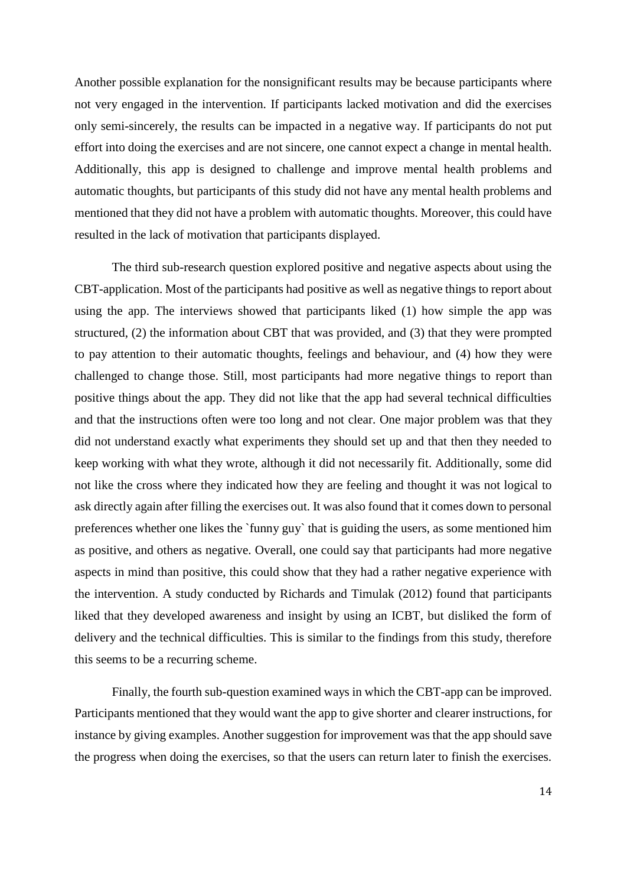Another possible explanation for the nonsignificant results may be because participants where not very engaged in the intervention. If participants lacked motivation and did the exercises only semi-sincerely, the results can be impacted in a negative way. If participants do not put effort into doing the exercises and are not sincere, one cannot expect a change in mental health. Additionally, this app is designed to challenge and improve mental health problems and automatic thoughts, but participants of this study did not have any mental health problems and mentioned that they did not have a problem with automatic thoughts. Moreover, this could have resulted in the lack of motivation that participants displayed.

The third sub-research question explored positive and negative aspects about using the CBT-application. Most of the participants had positive as well as negative things to report about using the app. The interviews showed that participants liked (1) how simple the app was structured, (2) the information about CBT that was provided, and (3) that they were prompted to pay attention to their automatic thoughts, feelings and behaviour, and (4) how they were challenged to change those. Still, most participants had more negative things to report than positive things about the app. They did not like that the app had several technical difficulties and that the instructions often were too long and not clear. One major problem was that they did not understand exactly what experiments they should set up and that then they needed to keep working with what they wrote, although it did not necessarily fit. Additionally, some did not like the cross where they indicated how they are feeling and thought it was not logical to ask directly again after filling the exercises out. It was also found that it comes down to personal preferences whether one likes the `funny guy` that is guiding the users, as some mentioned him as positive, and others as negative. Overall, one could say that participants had more negative aspects in mind than positive, this could show that they had a rather negative experience with the intervention. A study conducted by Richards and Timulak (2012) found that participants liked that they developed awareness and insight by using an ICBT, but disliked the form of delivery and the technical difficulties. This is similar to the findings from this study, therefore this seems to be a recurring scheme.

Finally, the fourth sub-question examined ways in which the CBT-app can be improved. Participants mentioned that they would want the app to give shorter and clearer instructions, for instance by giving examples. Another suggestion for improvement was that the app should save the progress when doing the exercises, so that the users can return later to finish the exercises.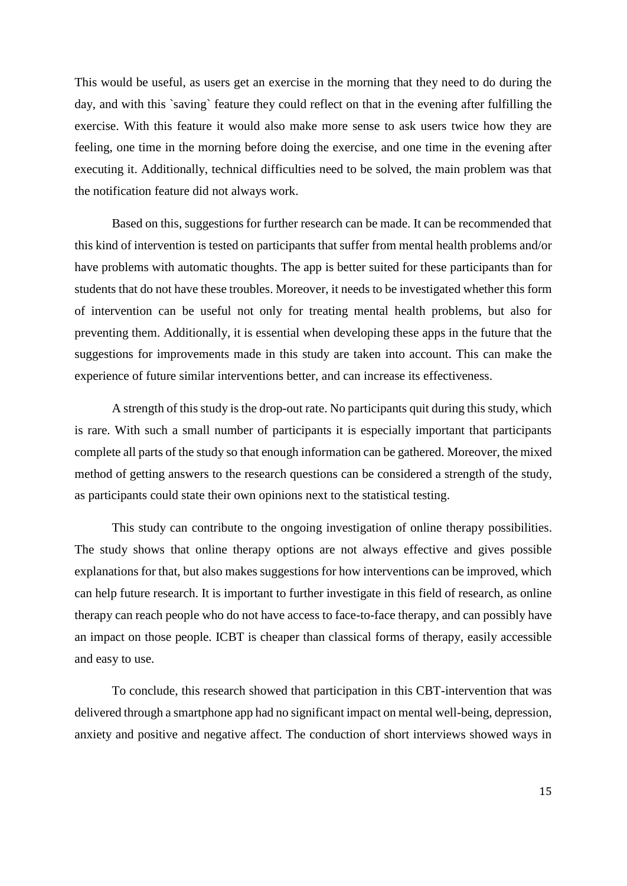This would be useful, as users get an exercise in the morning that they need to do during the day, and with this `saving` feature they could reflect on that in the evening after fulfilling the exercise. With this feature it would also make more sense to ask users twice how they are feeling, one time in the morning before doing the exercise, and one time in the evening after executing it. Additionally, technical difficulties need to be solved, the main problem was that the notification feature did not always work.

Based on this, suggestions for further research can be made. It can be recommended that this kind of intervention is tested on participants that suffer from mental health problems and/or have problems with automatic thoughts. The app is better suited for these participants than for students that do not have these troubles. Moreover, it needs to be investigated whether this form of intervention can be useful not only for treating mental health problems, but also for preventing them. Additionally, it is essential when developing these apps in the future that the suggestions for improvements made in this study are taken into account. This can make the experience of future similar interventions better, and can increase its effectiveness.

A strength of this study is the drop-out rate. No participants quit during this study, which is rare. With such a small number of participants it is especially important that participants complete all parts of the study so that enough information can be gathered. Moreover, the mixed method of getting answers to the research questions can be considered a strength of the study, as participants could state their own opinions next to the statistical testing.

This study can contribute to the ongoing investigation of online therapy possibilities. The study shows that online therapy options are not always effective and gives possible explanations for that, but also makes suggestions for how interventions can be improved, which can help future research. It is important to further investigate in this field of research, as online therapy can reach people who do not have access to face-to-face therapy, and can possibly have an impact on those people. ICBT is cheaper than classical forms of therapy, easily accessible and easy to use.

To conclude, this research showed that participation in this CBT-intervention that was delivered through a smartphone app had no significant impact on mental well-being, depression, anxiety and positive and negative affect. The conduction of short interviews showed ways in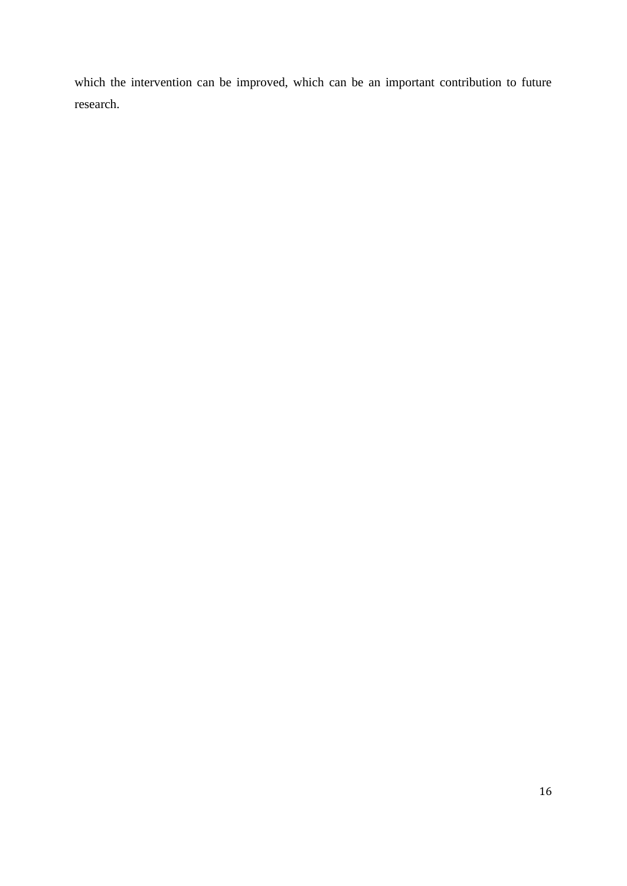which the intervention can be improved, which can be an important contribution to future research.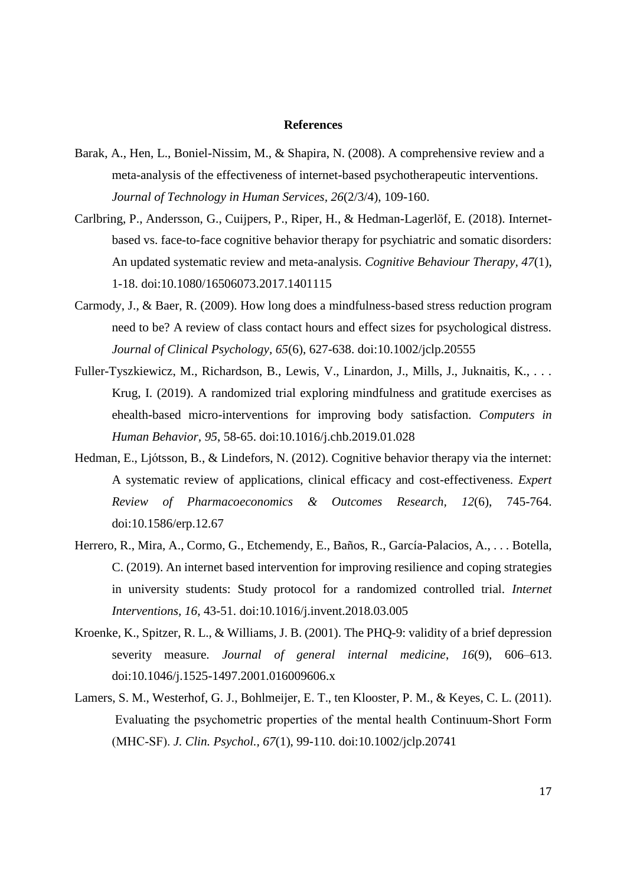### **References**

- <span id="page-16-0"></span>Barak, A., Hen, L., Boniel-Nissim, M., & Shapira, N. (2008). A comprehensive review and a meta-analysis of the effectiveness of internet-based psychotherapeutic interventions. *Journal of Technology in Human Services, 26*(2/3/4), 109-160.
- Carlbring, P., Andersson, G., Cuijpers, P., Riper, H., & Hedman-Lagerlöf, E. (2018). Internetbased vs. face-to-face cognitive behavior therapy for psychiatric and somatic disorders: An updated systematic review and meta-analysis. *Cognitive Behaviour Therapy, 47*(1), 1-18. doi:10.1080/16506073.2017.1401115
- Carmody, J., & Baer, R. (2009). How long does a mindfulness-based stress reduction program need to be? A review of class contact hours and effect sizes for psychological distress. *Journal of Clinical Psychology, 65*(6), 627-638. doi:10.1002/jclp.20555
- Fuller-Tyszkiewicz, M., Richardson, B., Lewis, V., Linardon, J., Mills, J., Juknaitis, K., . . . Krug, I. (2019). A randomized trial exploring mindfulness and gratitude exercises as ehealth-based micro-interventions for improving body satisfaction. *Computers in Human Behavior, 95*, 58-65. doi:10.1016/j.chb.2019.01.028
- Hedman, E., Ljótsson, B., & Lindefors, N. (2012). Cognitive behavior therapy via the internet: A systematic review of applications, clinical efficacy and cost-effectiveness. *Expert Review of Pharmacoeconomics & Outcomes Research, 12*(6), 745-764. doi:10.1586/erp.12.67
- Herrero, R., Mira, A., Cormo, G., Etchemendy, E., Baños, R., García-Palacios, A., . . . Botella, C. (2019). An internet based intervention for improving resilience and coping strategies in university students: Study protocol for a randomized controlled trial. *Internet Interventions, 16*, 43-51. doi:10.1016/j.invent.2018.03.005
- Kroenke, K., Spitzer, R. L., & Williams, J. B. (2001). The PHQ-9: validity of a brief depression severity measure. *Journal of general internal medicine*, *16*(9), 606–613. doi:10.1046/j.1525-1497.2001.016009606.x
- Lamers, S. M., Westerhof, G. J., Bohlmeijer, E. T., ten Klooster, P. M., & Keyes, C. L. (2011). Evaluating the psychometric properties of the mental health Continuum‐Short Form (MHC‐SF). *J. Clin. Psychol., 67*(1), 99-110. doi[:10.1002/jclp.20741](https://doi.org/10.1002/jclp.20741)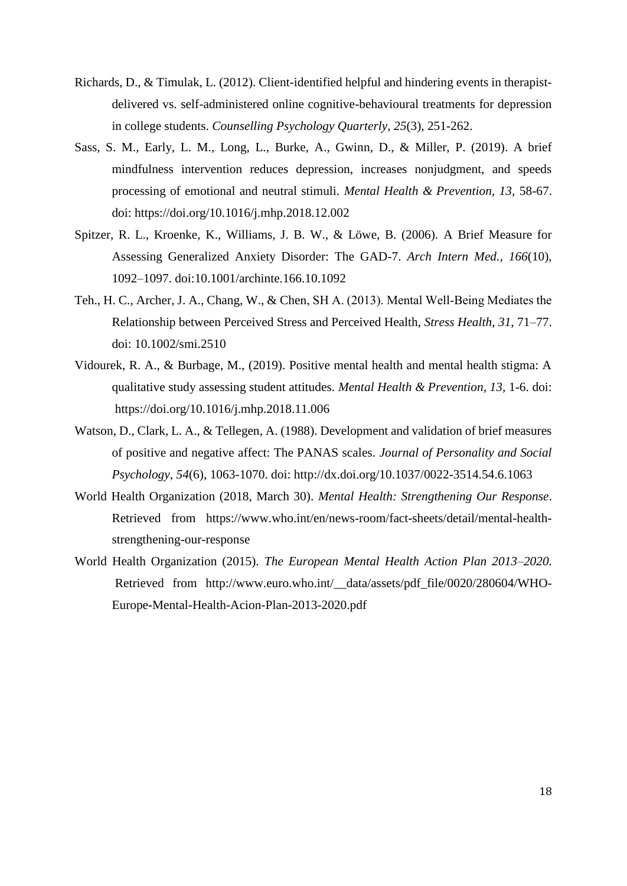- Richards, D., & Timulak, L. (2012). Client-identified helpful and hindering events in therapistdelivered vs. self-administered online cognitive-behavioural treatments for depression in college students. *Counselling Psychology Quarterly*, *25*(3), 251-262.
- Sass, S. M., Early, L. M., Long, L., Burke, A., Gwinn, D., & Miller, P. (2019). A brief mindfulness intervention reduces depression, increases nonjudgment, and speeds processing of emotional and neutral stimuli. *Mental Health & Prevention, 13,* 58-67. doi[:](https://doi-org.ezproxy2.utwente.nl/10.1016/j.mhp.2018.12.002) <https://doi.org/10.1016/j.mhp.2018.12.002>
- Spitzer, R. L., Kroenke, K., Williams, J. B. W., & Löwe, B. (2006). A Brief Measure for Assessing Generalized Anxiety Disorder: The GAD-7. *Arch Intern Med.*, *166*(10), 1092–1097. doi:10.1001/archinte.166.10.1092
- Teh., H. C., Archer, J. A., Chang, W., & Chen, SH A. (2013). Mental Well‐Being Mediates the Relationship between Perceived Stress and Perceived Health, *Stress Health*, *31*, 71–77. doi[:](https://doi-org.ezproxy2.utwente.nl/10.1002/smi.2510) [10.1002/smi.2510](https://doi-org.ezproxy2.utwente.nl/10.1002/smi.2510)
- Vidourek, R. A., & Burbage, M., (2019). Positive mental health and mental health stigma: A qualitative study assessing student attitudes. *Mental Health & Prevention, 13,* 1-6. doi: <https://doi.org/10.1016/j.mhp.2018.11.006>
- Watson, D., Clark, L. A., & Tellegen, A. (1988). Development and validation of brief measures of positive and negative affect: The PANAS scales. *Journal of Personality and Social Psychology, 54*(6), 1063-1070. doi: [http://dx.doi.org/10.1037/0022-3514.54.6.1063](https://psycnet.apa.org/doi/10.1037/0022-3514.54.6.1063)
- World Health Organization (2018, March 30). *Mental Health: Strengthening Our Response*. Retrieved from [h](https://www.who.int/en/news-room/fact-sheets/detail/mental-health-strengthening-our-response)ttps://www.who.int/en/news-room/fact-sheets/detail/mental-healthstrengthening-our-response
- World Health Organization (2015). *The European Mental Health Action Plan 2013–2020.* Retrieved from http://www.euro.who.int/ data/assets/pdf file/0020/280604/WHO-Europe-Mental-Health-Acion-Plan-2013-2020.pdf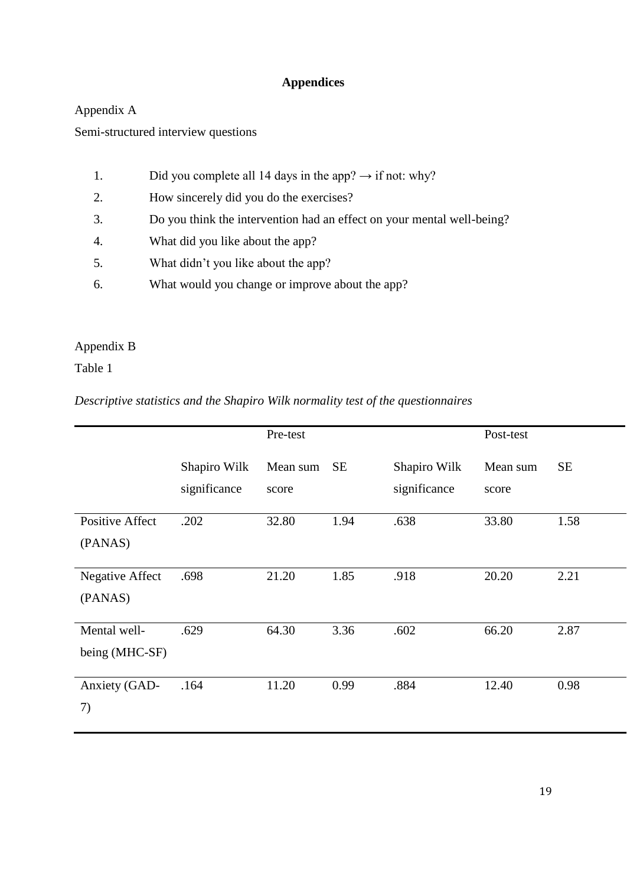# **Appendices**

# <span id="page-18-0"></span>Appendix A

Semi-structured interview questions

- 1. Did you complete all 14 days in the app?  $\rightarrow$  if not: why?
- 2. How sincerely did you do the exercises?
- 3. Do you think the intervention had an effect on your mental well-being?
- 4. What did you like about the app?
- 5. What didn't you like about the app?
- 6. What would you change or improve about the app?

# Appendix B

# Table 1

# *Descriptive statistics and the Shapiro Wilk normality test of the questionnaires*

|                        |                              | Pre-test          |           |                              | Post-test         |           |
|------------------------|------------------------------|-------------------|-----------|------------------------------|-------------------|-----------|
|                        | Shapiro Wilk<br>significance | Mean sum<br>score | <b>SE</b> | Shapiro Wilk<br>significance | Mean sum<br>score | <b>SE</b> |
| <b>Positive Affect</b> | .202                         | 32.80             | 1.94      | .638                         | 33.80             | 1.58      |
| (PANAS)                |                              |                   |           |                              |                   |           |
| <b>Negative Affect</b> | .698                         | 21.20             | 1.85      | .918                         | 20.20             | 2.21      |
| (PANAS)                |                              |                   |           |                              |                   |           |
| Mental well-           | .629                         | 64.30             | 3.36      | .602                         | 66.20             | 2.87      |
| being (MHC-SF)         |                              |                   |           |                              |                   |           |
| Anxiety (GAD-          | .164                         | 11.20             | 0.99      | .884                         | 12.40             | 0.98      |
| 7)                     |                              |                   |           |                              |                   |           |